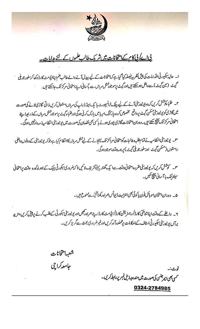

# <u>پی اے کی کام کے امتحانات میں شریک طالب علموں کے لئے ہدایات۔</u>

ا۔ حالیہ بیکیورٹی اقدامات کی پیش نظر بی فیصلہ کیا گیاہے کہ امتحانات کے لیے پیدل آنے والے طالب علم اپناایڈ مٹ کارڈ دکھا کرسلور جو بلی گیٹ (مین گیٹ) سے داخل ہوسکتے ہیں اور گیٹ پر موجود شش سردس سے باسانی اپنے امتحانی مرکز تک جاسکتے ہیں.

۳۔ طلباءکوشش کریں کہ وہ یونیورش آنے کے لیے پبک ٹرانسپورٹ یا یک اینڈ ڈراپ کی سروس استعال کریں ذاتی گاڑی لانے کی صورت میں گاڑی کویونیورسٹی سکن گیٹ پرواقع مخصوص کردہ پارکنگ اپریامیں پارک کرنی ہوگی اورطلباء گیٹ پرموجود شٹل سروں کے ذریعہاپنے امتحانی مرکز تک پہنچ سکتے ہیں۔دوران امتحانات گاڑی چوری ہونے پاکس بھی نقصان کی صورت میں یو نیورٹی انتظامیہ ذمہ دارنہیں ہوگی۔

٣۔ یونیورسٹی انتظامیہ نے تمام طلبہ وطالبات کوامتحانی مراکز تک پہنچانے کے لیے شل مردس کاانتظام کیا ہے جوکہ یونیورسٹی کے دونوں داخلی · راستوں(مسکن گیٹ اورسلورجویلی گیٹ) پر ہمہ دقت موجودہوگ۔

س۔ کوشش کریں کہ یونیورسٹی مقررہ امتحانی دقت سے ایک گھنٹہ پہلے تشریف لائیں تا کہ ضروری سکورٹی چیک کے بعد *مذک*ورہ وقت پرامتحانی سینٹر تک پا آ سانی پنچ سکیں۔

۵۔ دوران امتحان موبائل فون پاکوئی بھی انٹرنیٹ ڈیوائس ہمراہ رکھناتختی ہے منوع ہیں۔

۲۔ دانلے کے دفت اپناشناختی کارڈ/رجٹریشنکارڈ/ایڈمٹکارڈاپنے ہمراہ رکھیںاور یونیورٹی سکورٹی کےطلب کرنے پر پیش کریں،مزید برآں پونیورٹی سکیورٹی اسٹاف کےاحکامات پرعملدرآ مدکریں اورغیر ضروری بحث سےگر پزکریں۔

> شعبهامتحانات جامعہ کراچی

ٽوٺ:-کسی بھی <sub>ایم</sub>رجنسی کی صورت میں مندرجہ ذیل نمبر پر رابطہ کریں۔

## 0324-2784985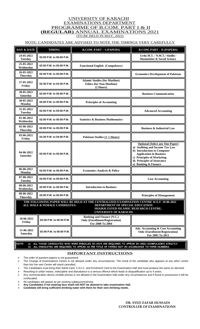### UNIVERSITY OF KARACHI EXAMINATIONS DEPARTMENT PROGRAMME OF B.COM. PART I & II  **(REGULAR)** ANNUAL EXAMINATIONS 2021 (TO BE HELD IN MAY, 2022)

### NOTE: CANDIDATES ARE ADVISED TO NOTE THE TIMINGS VERY CAREFULLY

| DAY & DATE                    | <b>TIMING</b>                 | <b>B.COM. PART - I (PAPERS)</b>                                                                                                                                                                | <b>B.COM. PART - II (PAPERS)</b>                                                                                                                                                                                              |
|-------------------------------|-------------------------------|------------------------------------------------------------------------------------------------------------------------------------------------------------------------------------------------|-------------------------------------------------------------------------------------------------------------------------------------------------------------------------------------------------------------------------------|
| 24-05-2022<br><b>Tuesday</b>  | 02:00 P.M. to 05:00 P.M.      |                                                                                                                                                                                                | Urdu M.T. / N.M.T./ Sindhi /<br><b>Humanities &amp; Social Science</b>                                                                                                                                                        |
| 25-05-2022<br>Wednesday       | 02:00 P.M. to 05:00 P.M.      | <b>Functional English (Compulsory)</b>                                                                                                                                                         |                                                                                                                                                                                                                               |
| 26-05-2022<br><b>Thursday</b> | 02:00 P.M. to 05:00 P.M.      |                                                                                                                                                                                                | <b>Economics Development of Pakistan</b>                                                                                                                                                                                      |
| 27-05-2022<br>Friday          | 02:30 P.M. to 04:30 P.M.      | <b>Islamic Studies (for Muslims)</b><br><b>Ethics (for Non-Muslims)</b><br>$(2$ Hours)                                                                                                         |                                                                                                                                                                                                                               |
| 28-05-2022<br><b>Saturday</b> | 02:00 P.M. to 05:00 P.M.      |                                                                                                                                                                                                | <b>Business Communication</b>                                                                                                                                                                                                 |
| 30-05-2022<br>Monday          | 02:00 P.M. to 05:00 P.M.      | <b>Principles of Accounting</b>                                                                                                                                                                |                                                                                                                                                                                                                               |
| 31-05-2022<br><b>Tuesday</b>  | 02:00 P.M. to 05:00 P.M.      |                                                                                                                                                                                                | <b>Advanced Accounting</b>                                                                                                                                                                                                    |
| 01-06-2022<br>Wednesday       | 02:00 P.M. to 05:00 P.M.      | <b>Statistics &amp; Business Mathematics</b>                                                                                                                                                   |                                                                                                                                                                                                                               |
| 02-06-2022<br><b>Thursday</b> | 02:00 P.M. to 05:00 P.M.      |                                                                                                                                                                                                | <b>Business &amp; Industrial Law</b>                                                                                                                                                                                          |
| 03-06-2022<br>Friday          | 02:30 P.M. to 04:00 P.M.      | Pakistan Studies (1 1/2 Hours)                                                                                                                                                                 |                                                                                                                                                                                                                               |
| 04-06-2022<br><b>Saturday</b> | 02:00 P.M. to 05:00 P.M.      |                                                                                                                                                                                                | <b>Optional (Select any One Paper)</b><br>a) Auditing and Income Tax Law<br>b) Introduction to Computer<br><b>Application in Business</b><br>c) Principles of Marketing<br>d) Principles of Insurance<br>e) Banking & Finance |
| $06 - 06 - 2022$<br>Monday    | 02:00 P.M. to 05:00 P.M.      | <b>Economics Analysis &amp; Policy</b>                                                                                                                                                         |                                                                                                                                                                                                                               |
| 07-06-2022<br><b>Tuesday</b>  | 02:00 P.M. to 05:00 P.M.      |                                                                                                                                                                                                | <b>Cost Accounting</b>                                                                                                                                                                                                        |
| 08-06-2022<br>Wednesdav       | 02:00 P.M. to 05:00 P.M.      | <b>Introduction to Business</b>                                                                                                                                                                |                                                                                                                                                                                                                               |
| 09-06-2022<br><b>Thursday</b> | 02:00 P.M. to 05:00 P.M.      |                                                                                                                                                                                                | <b>Principles of Management</b>                                                                                                                                                                                               |
|                               | ALL MALE & FEMALE CANDIDATES: | THE FOLLOWING PAPER WILL BE HELD AT THE CENTRALIZED EXAMINATION CENTRE W.E.F. 10-06-2022<br>DEPARTMENT OF SPECIAL EDUCATION<br>SHAIKH ZAYED ISLAMIC RESEARCH CENTRE,<br>UNIVERSITY OF KARACHI. |                                                                                                                                                                                                                               |
| 10-06-2022<br>Friday          | 02:30 P.M. to 05:30 P.M.      | <b>Banking and Finance (N.C.)</b><br><b>Only (Enrollment/Registration)</b><br>For 2000 To 2004                                                                                                 |                                                                                                                                                                                                                               |
| 11-06-2022<br><b>Saturday</b> | 02:00 P.M. to 05:00 P.M.      |                                                                                                                                                                                                | Adv. Accounting & Cost Accounting<br><b>Only (Enrollment/Registration)</b><br>For 2005 To 2011                                                                                                                                |

**NOTE: a) ALL THOSE CANDIDATES WHO WERE ENROLLED IN 2015 ARE REQUIRED TO APPEAR IN URDU (COMPULSORY) STRICTLY. b) ALL CNDIDATES ARE REQUIRED TO APPEAR AS PER TITLE OF PAPERS NOT IN ACCORDANCE TO PAPER NUMBERS.**

#### **IMPORTANT INSTRUCTIONS**

 $\triangleright$  The order of question papers is not guaranteed.

The Change of Examinations Centre is not allowed under any circumstances. The result of the candidate who appears at any other centre than his/ her own Centre will stand cancelled.

> The Candidates must bring their Admit Card, C.N.I.C. and Enrolment Card to the Examination Hall and must produce the same on demand.

Resorting to unfair means, indiscipline and disturbance is a serious offence which leads to disqualification up to 4 years.

 Any communication device (mobile phone) is not allowed in the Examination Hall under any circumstances and if found in possession it will be confiscated.

All candidates will appear as per existing syllabus/enrolment.

**Any Candidates if not wearing face mask will NOT be allowed to take examination Hall.**

**Candidate will bring sufficient drinking water with them for their own drinking needs.**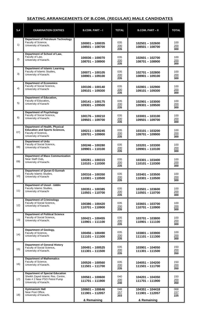### **SEATING ARRANGEMENTS OF B.COM. (REGULAR) MALE CANDIDATES**

| $S$ .# | <b>EXAMINATION CENTRES</b>                                                                                                             | B.COM. PART-I                                       | <b>TOTAL</b>                   | <b>B.COM. PART - II</b>                             | <b>TOTAL</b>                   |
|--------|----------------------------------------------------------------------------------------------------------------------------------------|-----------------------------------------------------|--------------------------------|-----------------------------------------------------|--------------------------------|
| 1)     | <b>Department of Petroleum Technology</b><br>Faculty of Science,<br>University of Karachi.                                             | $100001 - 100035$<br>108501 - 108700                | 035<br>200<br>235              | 102501 - 102600<br>108501 - 108700                  | 100<br>200<br>300              |
| 2)     | Department of School of Law,<br>Faculty of Law,<br>University of Karachi.                                                              | 100036 - 100070<br>108701-108900                    | 035<br>200<br>235              | 102601-102700<br>108701-108900                      | 100<br>200<br>300              |
| 3)     | <b>Department of Islamic Learning</b><br>Faculty of Islamic Studies,<br>University of Karachi.                                         | 100071-100105<br>108901-109100                      | 035<br>200<br>$\frac{1}{235}$  | 102701-102800<br>108901-109100                      | 100<br>200<br>300              |
| 4)     | <b>Department of Economics</b><br>Faculty of Social Science,<br>University of Karachi                                                  | 100106 - 100140<br>109101-109300                    | 035<br>200<br>$\overline{235}$ | 102801-102900<br>109101-109300                      | 100<br>200<br>300              |
| 5)     | <b>Department of Education,</b><br>Faculty of Education,<br>University of Karachi                                                      | 100141 - 100175<br>109301-109500                    | 035<br>200<br>235              | 102901-103000<br>109301 - 109500                    | 100<br>200<br>300              |
| 6)     | <b>Department of Psychology</b><br>Faculty of Social Science,<br>University of Karachi.                                                | 100176 - 100210<br>109501 - 109700                  | 035<br>200<br>235              | 103001-103100<br>109501 - 109700                    | 100<br>200<br>300              |
| 07)    | <b>Department of Health, Physical</b><br><b>Education and Sports Sciences,</b><br>Faculty of Science,<br>University of Karachi         | 100211-100245<br>109701-109900                      | 035<br>200<br>235              | 103101 - 103200<br>109701-109900                    | 100<br>200<br>300              |
| (08)   | <b>Department of Urdu</b><br>Faculty of Social Science,<br>University of Karachi.                                                      | 100246 - 100280<br>109901-110100                    | 035<br>200<br>235              | 103201-103300<br>109901-110100                      | 100<br>200<br>300              |
| 09)    | <b>Department of Mass Communication</b><br>Near Staff Club,<br>University of Karachi.                                                  | $100281 - 100315$<br>110101-110300                  | 035<br>200<br>235              | $103301 - 103400$<br>110101-110300                  | 100<br>200<br>300              |
| 10)    | <b>Department of Quran-O-Sunnah</b><br>Faculty Islamic Studies,<br>University of Karachi                                               | 100316 - 100350<br>110301 - 110500                  | 035<br>200<br>$\overline{235}$ | 103401-103500<br>110301 - 110500                    | 100<br>200<br>300              |
| 11)    | <b>Department of Usool - Uddin</b><br>Faculty Islamic Studies,<br>University of Karachi                                                | 100351 - 100385<br>110501 - 110700                  | 035<br>200<br>235              | $103501 - 103600$<br>110501 - 110700                | 100<br>200<br>300              |
| 12)    | <b>Department of Criminology</b><br>Faculty of Social Science,<br>University of Karachi.                                               | 100386 - 100420<br>110701-110900                    | 035<br>200<br>235              | 103601-103700<br>110701 - 110900                    | 100<br>200<br>300              |
| 13)    | <b>Department of Political Science</b><br>Faculty of Social Science,<br>University of Karachi.                                         | 100421-100455<br>110901-111100                      | 035<br>200<br>$\overline{235}$ | 103701 - 103800<br>110901-111100                    | 100<br>200<br>300              |
| 14)    | Department of Geology,<br>Faculty of Science,<br>University of Karachi                                                                 | 100456 - 100490<br>111101 - 111300                  | 035<br>200<br>235              | 103801-103900<br>111101 - 111300                    | 100<br>200<br>300              |
| 15)    | <b>Department of General History</b><br>Faculty of Social Science,<br>University of Karachi.                                           | 100491-100525<br>111301 - 111500                    | 035<br>200<br>235              | 103901 - 104050<br>111301 - 111500                  | 150<br>200<br>350              |
| 16)    | <b>Department of Mathematics</b><br>Faculty of Science,<br>University of Karachi.                                                      | 100526 - 100560<br>111501 - 111700                  | 035<br>200<br>235              | 104051 - 104200<br>111501 - 111700                  | 150<br>200<br>350              |
| 17)    | <b>Department of Special Education</b><br>Sheikh Zayed Islamic Res. Centre,<br>Gate # 2 Near PSO Petrol Pump<br>University of Karachi. | 100561 - 100600<br>111701 - 111900                  | 040<br>200<br>240              | 104201 - 104350<br>111701 - 111900                  | 150<br>200<br>350              |
| 18)    | <b>Gymnasium Hall</b><br>Near Post Office,<br>University of Karachi.                                                                   | $100601 - 100646$<br>111901 - 112057<br>& Remaining | 046<br>157<br>$\overline{203}$ | $104351 - 104418$<br>111901 - 112057<br>& Remaining | 068<br>157<br>$\overline{225}$ |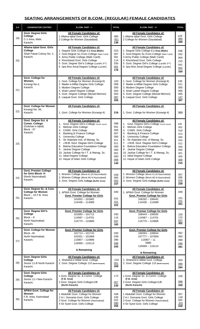### **SEATING ARRANGEMENTS OF B.COM. (REGULAR) FEMALE CANDIDATES**

| $S$ .# | <b>EXAMINATION CENTRES</b>                                                              | B.COM. PART-I                                                                                                                                                                                                                                                                                                                                                                                                                                                                                           | <b>TOTAL</b>                                                                            | <b>B.COM. PART - II</b>                                                                                                                                                                                                                                                                                                                                                                                                                                                 | <b>TOTAL</b>                                                                            |
|--------|-----------------------------------------------------------------------------------------|---------------------------------------------------------------------------------------------------------------------------------------------------------------------------------------------------------------------------------------------------------------------------------------------------------------------------------------------------------------------------------------------------------------------------------------------------------------------------------------------------------|-----------------------------------------------------------------------------------------|-------------------------------------------------------------------------------------------------------------------------------------------------------------------------------------------------------------------------------------------------------------------------------------------------------------------------------------------------------------------------------------------------------------------------------------------------------------------------|-----------------------------------------------------------------------------------------|
| 19)    | Govt. Degree Girls<br>College<br>C-1 Area, Malir,<br>Karachi.                           | All Female Candidates of:<br>1 Allama Iqbal Govt. Girls College<br>2 College for Women (Saudabad)                                                                                                                                                                                                                                                                                                                                                                                                       | 085<br>051<br>136                                                                       | All Female Candidates of:<br>1 Allama Iqbal Govt. Girls College<br>2 College for Women (Saudabad)                                                                                                                                                                                                                                                                                                                                                                       | 129<br>080<br>209                                                                       |
| (20)   | Allama Iqbal Govt. Girls<br>College<br>Shah Faisal Colony No. 2,<br>Karachi.            | All Female Candidates of:<br>1 Degree Girls College C-1 Area (Malir)<br>2 Govt.Degree Sc./Com.College (Malir Cantt)<br>3 Army Public College (Malir Cantt)<br>4 Khursheed Govt. Girls College<br>5 Govt. Degree Girl's College (Landhi 3 <sup>1/2</sup> )<br>6 Iqra Ilmo Amal Degree College (Landhi)                                                                                                                                                                                                   | 023<br>007<br>001<br>114<br>030<br>001<br>176                                           | All Female Candidates of:<br>Degree Girls College C-1 Area (Malir)<br>2 Govt.Degree Sc./Com.College (Malir Cantt)<br>3 Army Public College (Malir Cantt)<br>4 Khursheed Govt. Girls College<br>5 Govt. Degree Girl's College (Landhi 3 <sup>1/2</sup> )<br>6 Iqra Ilmo Amal Degree College (Landhi)                                                                                                                                                                     | 036<br>032<br>004<br>215<br>041<br>002<br>330                                           |
| 21)    | Govt. College for<br>Women,<br>Korangi No.4,<br>Karachi.                                | All Female Candidates of:<br>1. Govt. College for Women (Korangi-6)<br>2 Mader-e-Millat Degree Girls College<br>3. Modern Degree College<br>4. Shah Lateef Degree College<br>5. Govt. Degree College (Murad Memon)<br>6. Liaquat Govt. Girls College                                                                                                                                                                                                                                                    | 103<br>008<br>000<br>003<br>004<br>087<br>205                                           | All Female Candidates of:<br>1. Govt. College for Women (Korangi-6)<br>2 Mader-e-Millat Degree Girls College<br>3. Modern Degree College<br>4. Shah Lateef Degree College<br>5. Govt. Degree College (Murad Memon)<br>6. Liaquat Govt. Girls College                                                                                                                                                                                                                    | 138<br>011<br>000<br>006<br>005<br>147<br>307                                           |
| 22)    | Govt. College for Women<br>Korangi No. 06,<br>Karachi.                                  | All Female Candidates of:<br>1. Govt. College for Women (Korangi-4)                                                                                                                                                                                                                                                                                                                                                                                                                                     | 216                                                                                     | All Female Candidates of:<br>1. Govt. College for Women (Korangi-4)                                                                                                                                                                                                                                                                                                                                                                                                     | 313                                                                                     |
| 23)    | Govt. Degree Sci. &<br>Comm. College<br>(Gulshan e Iqbal)<br>Block - 07<br>Karachi.     | All Female Candidates of:<br>1. Govt. Degree Girl's College (Sheikh Zayed)<br>2.<br>Mehran Girls College<br>3.<br>CAMS. Girls College<br><b>Banking &amp; Finance College</b><br>4.<br>5.<br><b>University College</b><br>Sir Adamjee Inst. of Manag. Sc.<br>6.<br>J.M.B. Govt. Degree Girl's College<br>7.<br><b>Bahria Education Foundation College</b><br>8.<br>9. Jauhar Degree College<br>10. Jauhar College for I.T. & Manag. Sc.<br>11. Ideal Degree College<br>12. Hayat UI Islam Girls College | 098<br>001<br>005<br>007<br>000<br>011<br>011<br>000<br>000<br>001<br>000<br>006<br>140 | All Female Candidates of:<br>1. Govt. Degree Girl's College (Sheikh Zayed)<br>2. Mehran Girls College<br>3. CAMS. Girls College<br><b>Banking &amp; Finance College</b><br>4.<br>5. University College<br>6. Sir Adamjee Inst. of Manag. Sc.<br>7. J.M.B. Govt. Degree Girl's College<br>8. Bahria Education Foundation College<br>9. Jauhar Degree College<br>10. Jauhar College for I.T. & Manag. Sc.<br>11. Ideal Degree College<br>12. Hayat UI Islam Girls College | 136<br>001<br>018<br>014<br>000<br>024<br>012<br>000<br>000<br>001<br>000<br>009<br>215 |
| 24)    | Govt. Premier College<br>for Girls Block-H<br>(North Nazimabad)<br>Karachi.             | <u>All Female Candidates of:</u><br>1. Women College (Block-K) (N.Nazimabad)<br>2. Women College (Block-M) N.Nazimabad)<br>3. Govt. Degree Girls College (Buffer Zone)                                                                                                                                                                                                                                                                                                                                  | 039<br>065<br>053<br>157                                                                | All Female Candidates of:<br>1. Women College (Block-K) (N.Nazimabad)<br>2. Women College (Block-M) N.Nazimabad)<br>3. Govt. Degree Girls College (Buffer Zone)                                                                                                                                                                                                                                                                                                         | 057<br>095<br>076<br>228                                                                |
| 25)    | Govt. Degree Sc. & Com.<br><b>College for Women</b><br>Block - 16 F.B. Area<br>Karachi. | All Female Candidates of:<br>1. APWA Govt. College for Women<br><b>Govt. Premier College for Girls</b><br>101652 - 101682<br>114436 - 114586                                                                                                                                                                                                                                                                                                                                                            | 040<br>031<br>151<br>222                                                                | All Female Candidates of:<br>1. APWA Govt. College for Women<br><b>Govt. Premier College for Girls</b><br>106292 - 106442<br>114436 - 114586                                                                                                                                                                                                                                                                                                                            | 049<br>151<br>151<br>351                                                                |
| 26)    | Govt. Degree Girl's<br>College<br>$Block - K$<br>North Nazimabad,<br>Karachi.           | <b>Govt. Premier College for Girls</b><br>101683 - 101712<br>114587 - 114701<br>115770 - 115806                                                                                                                                                                                                                                                                                                                                                                                                         | 030<br>115<br>037<br>182                                                                | <b>Govt. Premier College for Girls</b><br>106443 - 106592<br>114587 - 114701<br>115770 - 115806                                                                                                                                                                                                                                                                                                                                                                         | 150<br>115<br>037<br>302                                                                |
| 27)    | Govt. College for Women<br>Block -M<br>North Nazimabad,<br>Karachi.                     | <b>Govt. Premier College for Girls</b><br>101713 - 101742<br>101931 - 101969<br>115807 - 115896<br>116069 - 116114<br>& Remaining                                                                                                                                                                                                                                                                                                                                                                       | 030<br>039<br>090<br>046<br>205                                                         | Govt. Premier College for Girls<br>106593 - 106654<br>107777 - 107859<br>$115807 - 11$<br>5896<br>116069 - 116114<br>& Remaining                                                                                                                                                                                                                                                                                                                                        | 062<br>083<br>090<br>046<br>281                                                         |
| 28)    | Govt. Degree Girls<br>College<br>Sector 11-B North Karachi<br>Karachi.                  | All Female Candidates of:<br>1. Shaheed-e-Millat Govt. College<br>2. Govt. Degree College 11/I (North Karachi)                                                                                                                                                                                                                                                                                                                                                                                          | 218<br>051<br>269                                                                       | All Female Candidates of:<br>1. Shaheed-e-Millat Govt. College<br>2. Govt. Degree College 11/I (North Karachi)                                                                                                                                                                                                                                                                                                                                                          | 204<br>090<br>294                                                                       |
| 29)    | Govt. Degree Girls<br>College<br>Sector 11-I New Karachi<br>Karachi.                    | All Female Candidates of:<br>1 Govt. Degree Sc. & Comm. College<br>(F.B. Area)<br>2 Govt. Degree Girls College11/B<br>(North Karachi)                                                                                                                                                                                                                                                                                                                                                                   | 173<br>057<br>230                                                                       | All Female Candidates of:<br>1 Govt. Degree Sc. & Comm. College<br>(F.B. Area)<br>2 Govt. Degree Girls College11/B<br>(North Karachi)                                                                                                                                                                                                                                                                                                                                   | 230<br>098<br>328                                                                       |
| 30)    | <b>APWA Govt. College for</b><br>Women<br>F.B. Area. Karimabad<br>Karachi.              | All Female Candidates of:<br>1 Abdullah Govt. College for Women<br>2 H.I. Osmania Govt. Girls College<br>3 Govt. College for Women (Nazimabad)<br>4 Sir Syed Govt. Girls College                                                                                                                                                                                                                                                                                                                        | 038<br>105<br>022<br>090<br>255                                                         | All Female Candidates of:<br>1 Abdullah Govt. College for Women<br>2 H.I. Osmania Govt. Girls College<br>3 Govt. College for Women (Nazimabad)<br>4 Sir Syed Govt. Girls College                                                                                                                                                                                                                                                                                        | 057<br>118<br>042<br>201<br>418                                                         |